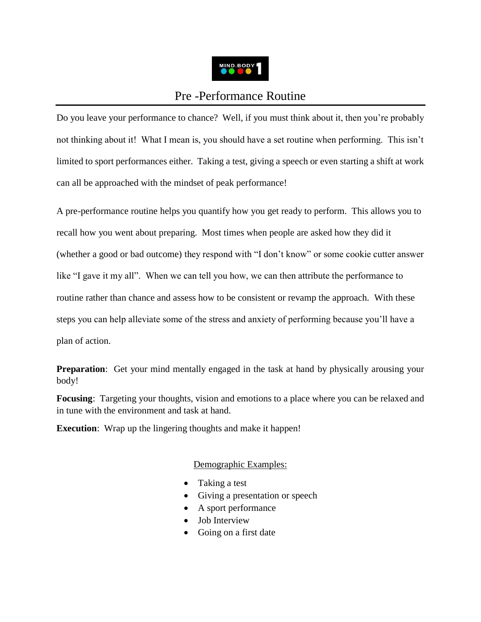

# Pre -Performance Routine

Do you leave your performance to chance? Well, if you must think about it, then you're probably not thinking about it! What I mean is, you should have a set routine when performing. This isn't limited to sport performances either. Taking a test, giving a speech or even starting a shift at work can all be approached with the mindset of peak performance!

A pre-performance routine helps you quantify how you get ready to perform. This allows you to recall how you went about preparing. Most times when people are asked how they did it (whether a good or bad outcome) they respond with "I don't know" or some cookie cutter answer like "I gave it my all". When we can tell you how, we can then attribute the performance to routine rather than chance and assess how to be consistent or revamp the approach. With these steps you can help alleviate some of the stress and anxiety of performing because you'll have a plan of action.

**Preparation**: Get your mind mentally engaged in the task at hand by physically arousing your body!

**Focusing**: Targeting your thoughts, vision and emotions to a place where you can be relaxed and in tune with the environment and task at hand.

**Execution:** Wrap up the lingering thoughts and make it happen!

# Demographic Examples:

- Taking a test
- Giving a presentation or speech
- A sport performance
- Job Interview
- Going on a first date